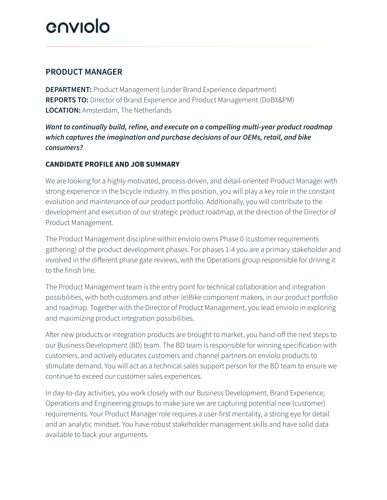## enviolo

## **PRODUCT MANAGER**

**DEPARTMENT:** Product Management (under Brand Experience department) **REPORTS TO:** Director of Brand Experience and Product Management (DoBX&PM) **LOCATION:** Amsterdam, The Netherlands

## *Want to continually build, refine, and execute on a compelling multi-year product roadmap which captures the imagination and purchase decisions of our OEMs, retail, and bike consumers?*

### **CANDIDATE PROFILE AND JOB SUMMARY**

We are looking for a highly motivated, process-driven, and detail-oriented Product Manager with strong experience in the bicycle industry. In this position, you will play a key role in the constant evolution and maintenance of our product portfolio. Additionally, you will contribute to the development and execution of our strategic product roadmap, at the direction of the Director of Product Management.

The Product Management discipline within enviolo owns Phase 0 (customer requirements gathering) of the product development phases. For phases 1-4 you are a primary stakeholder and involved in the different phase gate reviews, with the Operations group responsible for driving it to the finish line.

The Product Management team is the entry point for technical collaboration and integration possibilities, with both customers and other (e)Bike component makers, in our product portfolio and roadmap. Together with the Director of Product Management, you lead enviolo in exploring and maximizing product integration possibilities.

After new products or integration products are brought to market, you hand-off the next steps to our Business Development (BD) team. The BD team is responsible for winning specification with customers, and actively educates customers and channel partners on enviolo products to stimulate demand. You will act as a technical sales support person for the BD team to ensure we continue to exceed our customer sales experiences.

In day-to-day activities, you work closely with our Business Development, Brand Experience, Operations and Engineering groups to make sure we are capturing potential new (customer) requirements. Your Product Manager role requires a user-first mentality, a strong eye for detail and an analytic mindset. You have robust stakeholder management skills and have solid data available to back your arguments.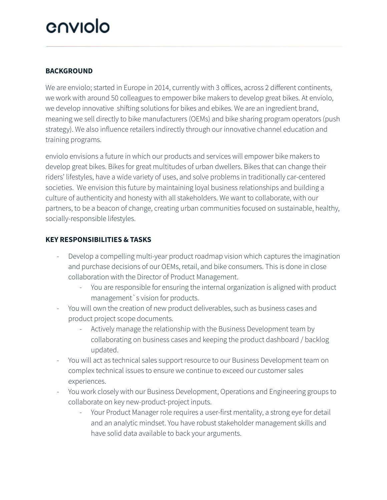## enviolo

#### **BACKGROUND**

We are enviolo; started in Europe in 2014, currently with 3 offices, across 2 different continents, we work with around 50 colleagues to empower bike makers to develop great bikes. At enviolo, we develop innovative shifting solutions for bikes and ebikes. We are an ingredient brand, meaning we sell directly to bike manufacturers (OEMs) and bike sharing program operators (push strategy). We also influence retailers indirectly through our innovative channel education and training programs.

enviolo envisions a future in which our products and services will empower bike makers to develop great bikes. Bikes for great multitudes of urban dwellers. Bikes that can change their riders' lifestyles, have a wide variety of uses, and solve problems in traditionally car-centered societies. We envision this future by maintaining loyal business relationships and building a culture of authenticity and honesty with all stakeholders. We want to collaborate, with our partners, to be a beacon of change, creating urban communities focused on sustainable, healthy, socially-responsible lifestyles.

#### **KEY RESPONSIBILITIES & TASKS**

- Develop a compelling multi-year product roadmap vision which captures the imagination and purchase decisions of our OEMs, retail, and bike consumers. This is done in close collaboration with the Director of Product Management.
	- You are responsible for ensuring the internal organization is aligned with product management`s vision for products.
- You will own the creation of new product deliverables, such as business cases and product project scope documents.
	- Actively manage the relationship with the Business Development team by collaborating on business cases and keeping the product dashboard / backlog updated.
- You will act as technical sales support resource to our Business Development team on complex technical issues to ensure we continue to exceed our customer sales experiences.
- You work closely with our Business Development, Operations and Engineering groups to collaborate on key new-product-project inputs.
	- Your Product Manager role requires a user-first mentality, a strong eye for detail and an analytic mindset. You have robust stakeholder management skills and have solid data available to back your arguments.